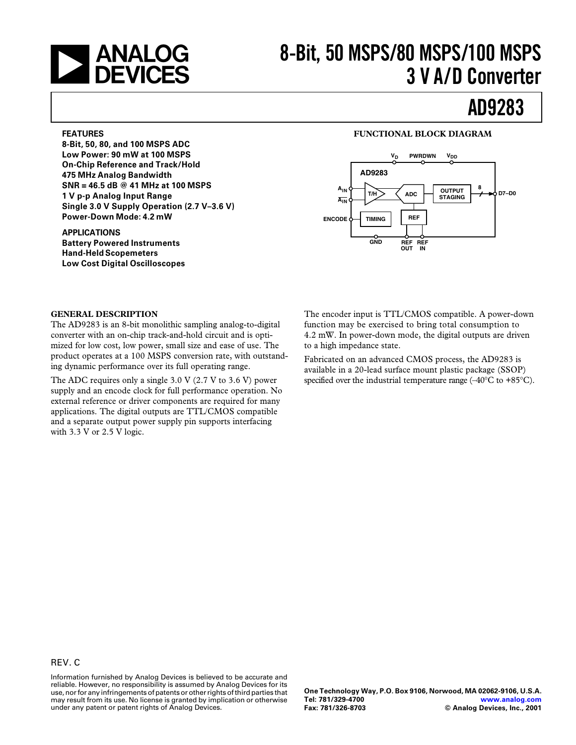

### **8-Bit, 50 MSPS/80 MSPS/100 MSPS 3 V A/D Converter**

### **AD9283**

#### **FEATURES**

**8-Bit, 50, 80, and 100 MSPS ADC Low Power: 90 mW at 100 MSPS On-Chip Reference and Track/Hold 475 MHz Analog Bandwidth SNR = 46.5 dB @ 41 MHz at 100 MSPS 1 V p-p Analog Input Range Single 3.0 V Supply Operation (2.7 V–3.6 V) Power-Down Mode: 4.2 mW**

### **APPLICATIONS**

**Battery Powered Instruments Hand-Held Scopemeters Low Cost Digital Oscilloscopes**

### **FUNCTIONAL BLOCK DIAGRAM**



#### **GENERAL DESCRIPTION**

The AD9283 is an 8-bit monolithic sampling analog-to-digital converter with an on-chip track-and-hold circuit and is optimized for low cost, low power, small size and ease of use. The product operates at a 100 MSPS conversion rate, with outstanding dynamic performance over its full operating range.

The ADC requires only a single 3.0 V (2.7 V to 3.6 V) power supply and an encode clock for full performance operation. No external reference or driver components are required for many applications. The digital outputs are TTL/CMOS compatible and a separate output power supply pin supports interfacing with 3.3 V or 2.5 V logic.

The encoder input is TTL/CMOS compatible. A power-down function may be exercised to bring total consumption to 4.2 mW. In power-down mode, the digital outputs are driven to a high impedance state.

Fabricated on an advanced CMOS process, the AD9283 is available in a 20-lead surface mount plastic package (SSOP) specified over the industrial temperature range  $(-40^{\circ}C \text{ to } +85^{\circ}C)$ .

Information furnished by Analog Devices is believed to be accurate and reliable. However, no responsibility is assumed by Analog Devices for its use, nor for any infringements of patents or other rights of third parties that may result from its use. No license is granted by implication or otherwise under any patent or patent rights of Analog Devices.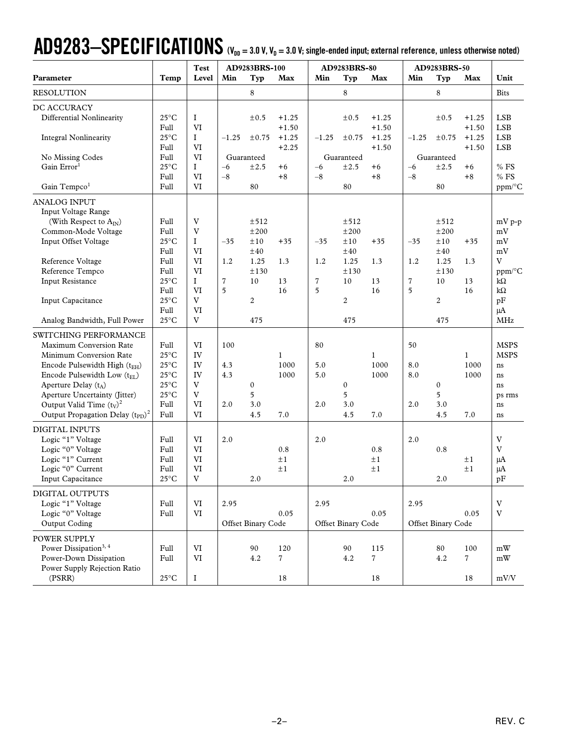## $AD9283-SPECIFICATING  $N_{\text{DD}}=3.0$  V,  $V_D=3.0$  V; single-ended input; external reference, unless otherwise noted)$

|                                                    |                        | <b>Test</b>       | AD9283BRS-100 |                    | AD9283BRS-80       |                |                    | AD9283BRS-50       |                |                    |                    |                          |
|----------------------------------------------------|------------------------|-------------------|---------------|--------------------|--------------------|----------------|--------------------|--------------------|----------------|--------------------|--------------------|--------------------------|
| Parameter                                          | Temp                   | Level             | Min           | Typ                | Max                | Min            | Typ                | Max                | Min            | Typ                | Max                | Unit                     |
| <b>RESOLUTION</b>                                  |                        |                   |               | 8                  |                    |                | 8                  |                    |                | 8                  |                    | <b>Bits</b>              |
| DC ACCURACY                                        |                        |                   |               |                    |                    |                |                    |                    |                |                    |                    |                          |
| Differential Nonlinearity                          | $25^{\circ}$ C<br>Full | I<br>VI           |               | $\pm 0.5$          | $+1.25$<br>$+1.50$ |                | ±0.5               | $+1.25$<br>$+1.50$ |                | $\pm 0.5$          | $+1.25$<br>$+1.50$ | <b>LSB</b><br><b>LSB</b> |
| <b>Integral Nonlinearity</b>                       | $25^{\circ}$ C<br>Full | $\mathbf I$<br>VI | $-1.25$       | ±0.75              | $+1.25$<br>$+2.25$ | $-1.25$        | ±0.75              | $+1.25$<br>$+1.50$ | $-1.25$        | ±0.75              | $+1.25$<br>$+1.50$ | <b>LSB</b><br><b>LSB</b> |
| No Missing Codes                                   | Full                   | VI                |               | Guaranteed         |                    |                | Guaranteed         |                    |                | Guaranteed         |                    |                          |
| Gain Error <sup>1</sup>                            | $25^{\circ}$ C         | $\mathbf I$       | $-6$          | ±2.5               | $+6$               | $-6$           | ±2.5               | +6                 | $-6$           | ±2.5               | $+6$               | $%$ FS                   |
|                                                    | Full                   | VI                | $-8$          |                    | $+8$               | $-8\,$         |                    | $+8$               | $-8$           |                    | $+8$               | $\%$ FS                  |
| Gain Tempco <sup>1</sup>                           | Full                   | VI                |               | 80                 |                    |                | 80                 |                    |                | 80                 |                    | ppm/°C                   |
| <b>ANALOG INPUT</b>                                |                        |                   |               |                    |                    |                |                    |                    |                |                    |                    |                          |
| Input Voltage Range<br>(With Respect to $A_{IN}$ ) | Full                   | V                 |               | ±512               |                    |                | ±512               |                    |                | ±512               |                    | mV p-p                   |
| Common-Mode Voltage                                | Full                   | V                 |               | ±200               |                    |                | ±200               |                    |                | ±200               |                    | mV                       |
| Input Offset Voltage                               | $25^{\circ}$ C         | I                 | $-35$         | ±10                | $+35$              | $-35$          | ±10                | $+35$              | $-35$          | ±10                | $+35$              | mV                       |
|                                                    | Full                   | VI                |               | ±40                |                    |                | ±40                |                    |                | ±40                |                    | mV                       |
| Reference Voltage                                  | Full                   | VI                | 1.2           | 1.25               | 1.3                | 1.2            | 1.25               | 1.3                | 1.2            | 1.25               | 1.3                | V                        |
| Reference Tempco                                   | Full                   | VI                |               | ±130               |                    |                | ±130               |                    |                | ±130               |                    | ppm/°C                   |
| <b>Input Resistance</b>                            | $25^{\circ}$ C         | $\mathbf I$       | 7             | 10                 | 13                 | $\overline{7}$ | 10                 | 13                 | $\overline{7}$ | 10                 | 13                 | $k\Omega$                |
|                                                    | Full                   | VI                | 5             |                    | 16                 | 5              |                    | 16                 | 5              |                    | 16                 | $k\Omega$                |
| Input Capacitance                                  | $25^{\circ}$ C         | V                 |               | $\boldsymbol{2}$   |                    |                | $\boldsymbol{2}$   |                    |                | $\overline{c}$     |                    | pF                       |
|                                                    | Full                   | VI                |               |                    |                    |                |                    |                    |                |                    |                    | $\mu A$                  |
| Analog Bandwidth, Full Power                       | $25^{\circ}$ C         | V                 |               | 475                |                    |                | 475                |                    |                | 475                |                    | MHz                      |
| SWITCHING PERFORMANCE                              |                        |                   |               |                    |                    |                |                    |                    |                |                    |                    |                          |
| Maximum Conversion Rate                            | Full                   | VI                | 100           |                    |                    | 80             |                    |                    | 50             |                    |                    | <b>MSPS</b>              |
| Minimum Conversion Rate                            | $25^{\circ}$ C         | IV                |               |                    | $\mathbf{1}$       |                |                    | $\mathbf{1}$       |                |                    | $\mathbf{1}$       | <b>MSPS</b>              |
| Encode Pulsewidth High (tEH)                       | $25^{\circ}$ C         | IV                | 4.3           |                    | 1000               | 5.0            |                    | 1000               | 8.0            |                    | 1000               | ns                       |
| Encode Pulsewidth Low $(t_{EI})$                   | $25^{\circ}$ C         | IV                | 4.3           |                    | 1000               | 5.0            |                    | 1000               | 8.0            |                    | 1000               | ns                       |
| Aperture Delay $(t_A)$                             | $25^{\circ}$ C         | V                 |               | 0                  |                    |                | $\boldsymbol{0}$   |                    |                | $\boldsymbol{0}$   |                    | ns                       |
| Aperture Uncertainty (Jitter)                      | $25^{\circ}$ C         | V                 |               | 5                  |                    |                | 5                  |                    |                | 5                  |                    | ps rms                   |
| Output Valid Time $(t_V)^2$                        | Full                   | VI                | 2.0           | 3.0                |                    | 2.0            | 3.0                |                    | 2.0            | 3.0                |                    | ns                       |
| Output Propagation Delay $(t_{PD})^2$              | Full                   | VI                |               | 4.5                | 7.0                |                | 4.5                | 7.0                |                | 4.5                | 7.0                | ns                       |
| DIGITAL INPUTS                                     |                        |                   |               |                    |                    |                |                    |                    |                |                    |                    |                          |
| Logic "1" Voltage                                  | Full                   | VI                | 2.0           |                    |                    | 2.0            |                    |                    | 2.0            |                    |                    | $\mathbf V$              |
| Logic "0" Voltage                                  | Full                   | VI                |               |                    | 0.8                |                |                    | 0.8                |                | 0.8                |                    | V                        |
| Logic "1" Current                                  | Full                   | VI                |               |                    | $\pm 1$            |                |                    | $\pm 1$            |                |                    | $\pm 1$            | μA                       |
| Logic "0" Current                                  | Full                   | VI                |               |                    | $\pm 1$            |                |                    | $\pm 1$            |                |                    | ±1                 | μA                       |
| <b>Input Capacitance</b>                           | $25^{\circ}$ C         | V                 |               | 2.0                |                    |                | 2.0                |                    |                | 2.0                |                    | pF                       |
| DIGITAL OUTPUTS                                    |                        |                   |               |                    |                    |                |                    |                    |                |                    |                    |                          |
| Logic "1" Voltage                                  | Full                   | $\mbox{VI}$       | 2.95          |                    |                    | 2.95           |                    |                    | 2.95           |                    |                    | $\mathbf V$              |
| Logic "0" Voltage                                  | Full                   | VI                |               |                    | 0.05               |                |                    | 0.05               |                |                    | 0.05               | $\mathbf{V}$             |
| Output Coding                                      |                        |                   |               | Offset Binary Code |                    |                | Offset Binary Code |                    |                | Offset Binary Code |                    |                          |
|                                                    |                        |                   |               |                    |                    |                |                    |                    |                |                    |                    |                          |
| POWER SUPPLY                                       |                        |                   |               |                    |                    |                |                    |                    |                |                    |                    |                          |
| Power Dissipation <sup>3, 4</sup>                  | Full                   | VI                |               | 90                 | 120                |                | 90                 | 115                |                | 80                 | 100                | mW                       |
| Power-Down Dissipation                             | Full                   | VI                |               | 4.2                | $\overline{7}$     |                | 4.2                | 7                  |                | 4.2                | 7                  | mW                       |
| Power Supply Rejection Ratio                       |                        |                   |               |                    |                    |                |                    |                    |                |                    |                    |                          |
| (PSRR)                                             | $25^{\circ}$ C         | $\rm I$           |               |                    | 18                 |                |                    | $18\,$             |                |                    | 18                 | mV/V                     |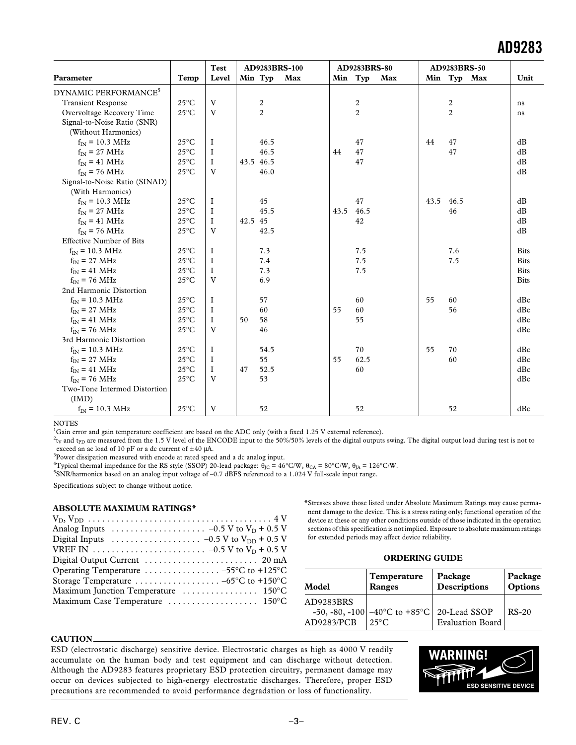|                                  |                | <b>Test</b> |         |                | AD9283BRS-100 |         | AD9283BRS-80   |     |      | AD9283BRS-50   |             |
|----------------------------------|----------------|-------------|---------|----------------|---------------|---------|----------------|-----|------|----------------|-------------|
| Parameter                        | Temp           | Level       |         | Min Typ        | Max           | Min Typ |                | Max |      | Min Typ Max    | Unit        |
| DYNAMIC PERFORMANCE <sup>5</sup> |                |             |         |                |               |         |                |     |      |                |             |
| <b>Transient Response</b>        | $25^{\circ}$ C | V           |         | 2              |               |         | 2              |     |      | 2              | ns          |
| Overvoltage Recovery Time        | $25^{\circ}$ C | V           |         | $\overline{2}$ |               |         | $\overline{2}$ |     |      | $\overline{c}$ | ns          |
| Signal-to-Noise Ratio (SNR)      |                |             |         |                |               |         |                |     |      |                |             |
| (Without Harmonics)              |                |             |         |                |               |         |                |     |      |                |             |
| $f_{IN}$ = 10.3 MHz              | $25^{\circ}$ C | Ι.          |         | 46.5           |               |         | 47             |     | 44   | 47             | dB          |
| $f_{IN}$ = 27 MHz                | $25^{\circ}$ C | Ι.          |         | 46.5           |               | 44      | 47             |     |      | 47             | dB          |
| $f_{IN}$ = 41 MHz                | $25^{\circ}$ C | $\bf{I}$    |         | 43.5 46.5      |               |         | 47             |     |      |                | dB          |
| $f_{IN}$ = 76 MHz                | $25^{\circ}$ C | V           |         | 46.0           |               |         |                |     |      |                | dB          |
| Signal-to-Noise Ratio (SINAD)    |                |             |         |                |               |         |                |     |      |                |             |
| (With Harmonics)                 |                |             |         |                |               |         |                |     |      |                |             |
| $f_{IN}$ = 10.3 MHz              | $25^{\circ}$ C | I           |         | 45             |               |         | 47             |     | 43.5 | 46.5           | dB          |
| $f_{IN}$ = 27 MHz                | $25^{\circ}$ C | $\bf I$     |         | 45.5           |               | 43.5    | 46.5           |     |      | 46             | dB          |
| $f_{IN} = 41 \text{ MHz}$        | $25^{\circ}$ C | $\mathbf I$ | 42.5 45 |                |               |         | 42             |     |      |                | dB          |
| $f_{IN}$ = 76 MHz                | $25^{\circ}$ C | V           |         | 42.5           |               |         |                |     |      |                | dB          |
| <b>Effective Number of Bits</b>  |                |             |         |                |               |         |                |     |      |                |             |
| $f_{IN}$ = 10.3 MHz              | $25^{\circ}$ C | $\bf{I}$    |         | 7.3            |               |         | 7.5            |     |      | 7.6            | <b>Bits</b> |
| $f_{IN}$ = 27 MHz                | $25^{\circ}$ C | $\mathbf I$ |         | 7.4            |               |         | 7.5            |     |      | 7.5            | <b>Bits</b> |
| $f_{IN} = 41 \text{ MHz}$        | $25^{\circ}$ C | Ι.          |         | 7.3            |               |         | 7.5            |     |      |                | <b>Bits</b> |
| $f_{\text{IN}}$ = 76 MHz         | $25^{\circ}$ C | V           |         | 6.9            |               |         |                |     |      |                | <b>Bits</b> |
| 2nd Harmonic Distortion          |                |             |         |                |               |         |                |     |      |                |             |
| $f_{IN} = 10.3 \text{ MHz}$      | $25^{\circ}$ C | I           |         | 57             |               |         | 60             |     | 55   | 60             | dBc         |
| $f_{IN}$ = 27 MHz                | $25^{\circ}$ C | $\bf{I}$    |         | 60             |               | 55      | 60             |     |      | 56             | dBc         |
| $f_{IN} = 41 \text{ MHz}$        | $25^{\circ}$ C | Ι.          | 50      | 58             |               |         | 55             |     |      |                | dBc         |
| $f_{\text{IN}}$ = 76 MHz         | $25^{\circ}$ C | V           |         | 46             |               |         |                |     |      |                | dBc         |
| 3rd Harmonic Distortion          |                |             |         |                |               |         |                |     |      |                |             |
| $f_{IN}$ = 10.3 MHz              | $25^{\circ}$ C | $\bf{I}$    |         | 54.5           |               |         | 70             |     | 55   | 70             | dBc         |
| $f_{IN}$ = 27 MHz                | $25^{\circ}$ C | $\bf{I}$    |         | 55             |               | 55      | 62.5           |     |      | 60             | dBc         |
| $f_{IN} = 41 \text{ MHz}$        | $25^{\circ}$ C | $\rm I$     | 47      | 52.5           |               |         | 60             |     |      |                | dBc         |
| $f_{IN}$ = 76 MHz                | $25^{\circ}$ C | V           |         | 53             |               |         |                |     |      |                | dBc         |
| Two-Tone Intermod Distortion     |                |             |         |                |               |         |                |     |      |                |             |
| (IMD)                            |                |             |         |                |               |         |                |     |      |                |             |
| $f_{IN}$ = 10.3 MHz              | $25^{\circ}$ C | V           |         | 52             |               |         | 52             |     |      | 52             | dBc         |

**NOTES** 

<sup>1</sup>Gain error and gain temperature coefficient are based on the ADC only (with a fixed 1.25 V external reference).

 $t_{\rm V}$  and t<sub>PD</sub> are measured from the 1.5 V level of the ENCODE input to the 50%/50% levels of the digital outputs swing. The digital output load during test is not to exceed an ac load of 10 pF or a dc current of  $\pm 40$  µA.

 $3$ Power dissipation measured with encode at rated speed and a dc analog input.

<sup>4</sup>Typical thermal impedance for the RS style (SSOP) 20-lead package:  $\theta_{\text{JC}} = 46^{\circ}$ C/W,  $\theta_{\text{CA}} = 80^{\circ}$ C/W,  $\theta_{\text{JA}} = 126^{\circ}$ C/W.

5 SNR/harmonics based on an analog input voltage of –0.7 dBFS referenced to a 1.024 V full-scale input range.

Specifications subject to change without notice.

#### **ABSOLUTE MAXIMUM RATINGS\***

| Analog Inputs $\ldots \ldots \ldots \ldots \ldots \ldots -0.5 \, V \text{ to } V_D + 0.5 \, V$ |
|------------------------------------------------------------------------------------------------|
| Digital Inputs $\ldots \ldots \ldots \ldots \ldots \ldots -0.5$ V to V <sub>DD</sub> + 0.5 V   |
|                                                                                                |
|                                                                                                |
|                                                                                                |
| Storage Temperature $\dots \dots \dots \dots \dots -65$ °C to +150°C                           |
|                                                                                                |
|                                                                                                |
|                                                                                                |

\*Stresses above those listed under Absolute Maximum Ratings may cause permanent damage to the device. This is a stress rating only; functional operation of the device at these or any other conditions outside of those indicated in the operation sections of this specification is not implied. Exposure to absolute maximum ratings for extended periods may affect device reliability.

### **ORDERING GUIDE**

| Model      | Temperature<br><b>Ranges</b>                                      | Package<br><b>Descriptions</b> | Package<br>Options |
|------------|-------------------------------------------------------------------|--------------------------------|--------------------|
| AD9283BRS  |                                                                   |                                |                    |
|            | -50, -80, -100 $-40^{\circ}$ C to +85 $^{\circ}$ C   20-Lead SSOP |                                | $RS-20$            |
| AD9283/PCB | $25^{\circ}$ C                                                    | <b>Evaluation Board</b>        |                    |

#### **CAUTION**

ESD (electrostatic discharge) sensitive device. Electrostatic charges as high as 4000 V readily accumulate on the human body and test equipment and can discharge without detection. Although the AD9283 features proprietary ESD protection circuitry, permanent damage may occur on devices subjected to high-energy electrostatic discharges. Therefore, proper ESD precautions are recommended to avoid performance degradation or loss of functionality.

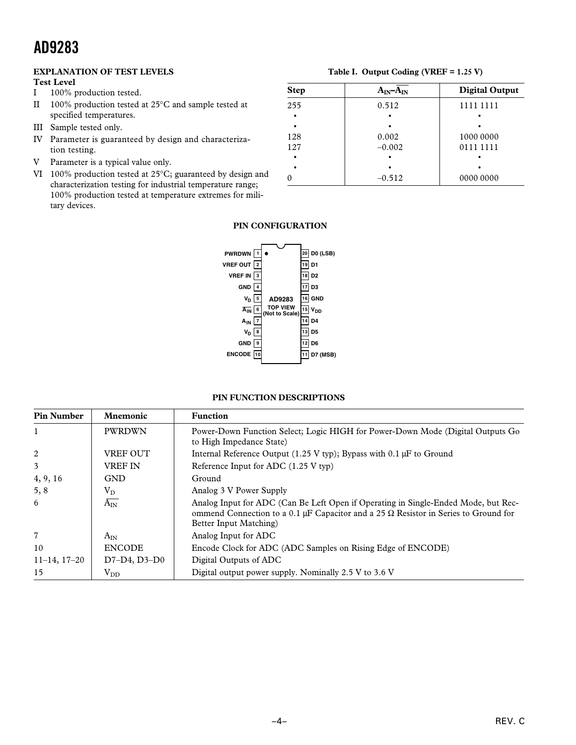### **EXPLANATION OF TEST LEVELS**

**Test Level**

I 100% production tested.

II 100% production tested at 25°C and sample tested at specified temperatures.

- III Sample tested only.
- IV Parameter is guaranteed by design and characterization testing.
- V Parameter is a typical value only.
- VI 100% production tested at 25°C; guaranteed by design and characterization testing for industrial temperature range; 100% production tested at temperature extremes for military devices.

# **Table I. Output Coding (VREF = 1.25 V)**

| <b>Step</b> | $A_{IN} - A_{IN}$ | <b>Digital Output</b> |
|-------------|-------------------|-----------------------|
| 255         | 0.512             | 1111 1111             |
| ٠           |                   |                       |
| ٠           |                   |                       |
| 128         | 0.002             | 1000 0000             |
| 127         | $-0.002$          | 0111 1111             |
| ٠           |                   |                       |
|             |                   |                       |
|             | $-0.512$          | 0000 0000             |

### **PIN CONFIGURATION**



### **PIN FUNCTION DESCRIPTIONS**

| <b>Pin Number</b> | <b>Mnemonic</b> | <b>Function</b>                                                                                                                                                                                            |
|-------------------|-----------------|------------------------------------------------------------------------------------------------------------------------------------------------------------------------------------------------------------|
|                   | <b>PWRDWN</b>   | Power-Down Function Select; Logic HIGH for Power-Down Mode (Digital Outputs Go<br>to High Impedance State)                                                                                                 |
| 2                 | <b>VREF OUT</b> | Internal Reference Output (1.25 V typ); Bypass with $0.1 \mu$ F to Ground                                                                                                                                  |
| 3                 | <b>VREF IN</b>  | Reference Input for ADC (1.25 V typ)                                                                                                                                                                       |
| 4, 9, 16          | <b>GND</b>      | Ground                                                                                                                                                                                                     |
| 5, 8              | $\rm V_{D}$     | Analog 3 V Power Supply                                                                                                                                                                                    |
| 6                 | $A_{IN}$        | Analog Input for ADC (Can Be Left Open if Operating in Single-Ended Mode, but Rec-<br>ommend Connection to a 0.1 µF Capacitor and a 25 $\Omega$ Resistor in Series to Ground for<br>Better Input Matching) |
| $\overline{7}$    | $A_{IN}$        | Analog Input for ADC                                                                                                                                                                                       |
| 10                | <b>ENCODE</b>   | Encode Clock for ADC (ADC Samples on Rising Edge of ENCODE)                                                                                                                                                |
| $11-14$ , $17-20$ | $D7-D4, D3-D0$  | Digital Outputs of ADC                                                                                                                                                                                     |
| 15                | $\rm V_{DD}$    | Digital output power supply. Nominally 2.5 V to 3.6 V                                                                                                                                                      |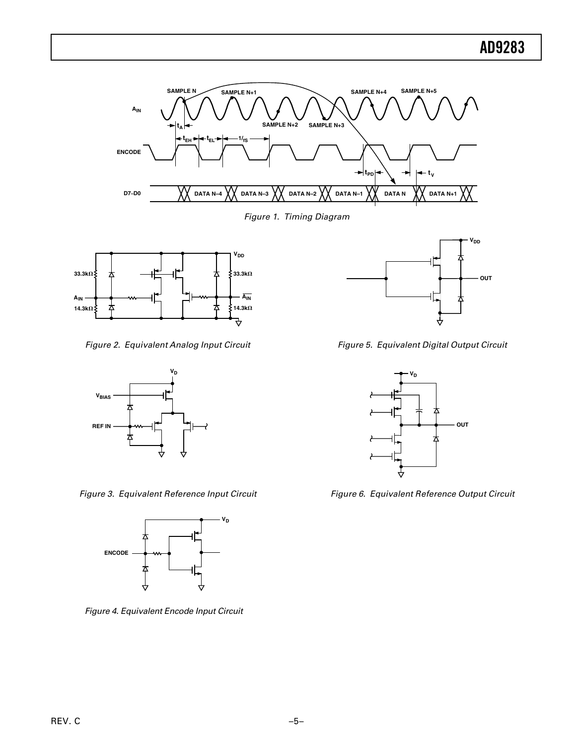

Figure 1. Timing Diagram



Figure 2. Equivalent Analog Input Circuit



Figure 3. Equivalent Reference Input Circuit



Figure 4. Equivalent Encode Input Circuit



Figure 5. Equivalent Digital Output Circuit



Figure 6. Equivalent Reference Output Circuit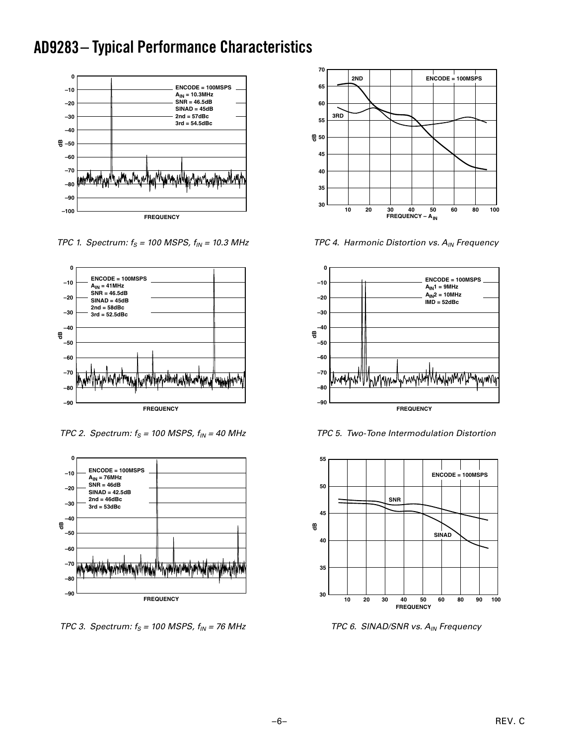### **AD9283 – Typical Performance Characteristics**



TPC 1. Spectrum:  $f_S = 100$  MSPS,  $f_{IN} = 10.3$  MHz



TPC 2. Spectrum:  $f_S = 100$  MSPS,  $f_{IN} = 40$  MHz



TPC 3. Spectrum:  $f_S = 100$  MSPS,  $f_{IN} = 76$  MHz



TPC 4. Harmonic Distortion vs.  $A_{IN}$  Frequency



TPC 5. Two-Tone Intermodulation Distortion



TPC 6. SINAD/SNR vs. A<sub>IN</sub> Frequency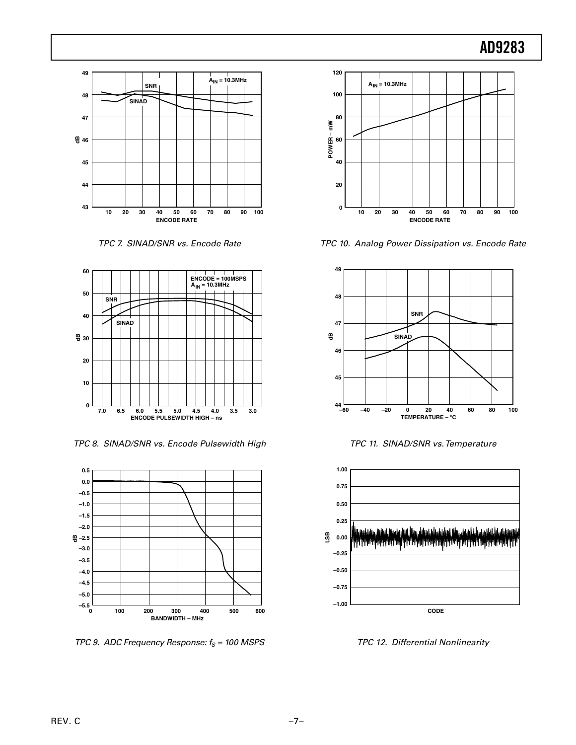

TPC 7. SINAD/SNR vs. Encode Rate



TPC 8. SINAD/SNR vs. Encode Pulsewidth High



TPC 9. ADC Frequency Response:  $f_S = 100$  MSPS



TPC 10. Analog Power Dissipation vs. Encode Rate



TPC 11. SINAD/SNR vs. Temperature



TPC 12. Differential Nonlinearity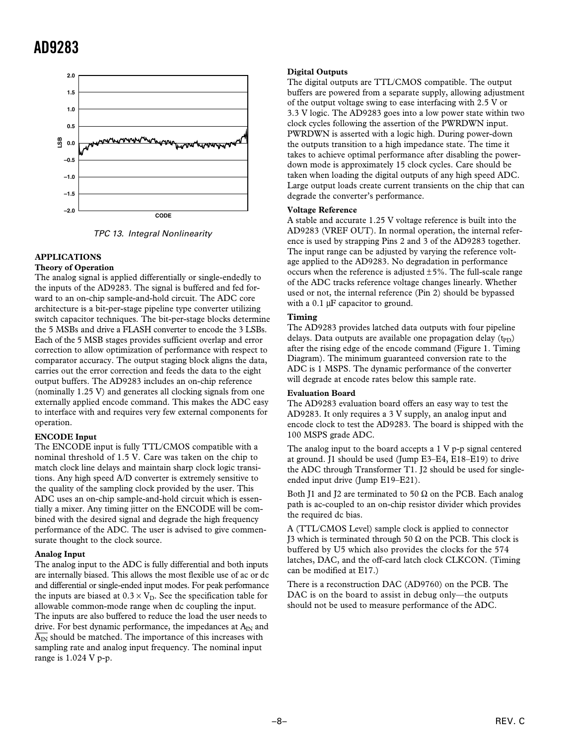

TPC 13. Integral Nonlinearity

### **APPLICATIONS**

### **Theory of Operation**

The analog signal is applied differentially or single-endedly to the inputs of the AD9283. The signal is buffered and fed forward to an on-chip sample-and-hold circuit. The ADC core architecture is a bit-per-stage pipeline type converter utilizing switch capacitor techniques. The bit-per-stage blocks determine the 5 MSBs and drive a FLASH converter to encode the 3 LSBs. Each of the 5 MSB stages provides sufficient overlap and error correction to allow optimization of performance with respect to comparator accuracy. The output staging block aligns the data, carries out the error correction and feeds the data to the eight output buffers. The AD9283 includes an on-chip reference (nominally 1.25 V) and generates all clocking signals from one externally applied encode command. This makes the ADC easy to interface with and requires very few external components for operation.

### **ENCODE Input**

The ENCODE input is fully TTL/CMOS compatible with a nominal threshold of 1.5 V. Care was taken on the chip to match clock line delays and maintain sharp clock logic transitions. Any high speed A/D converter is extremely sensitive to the quality of the sampling clock provided by the user. This ADC uses an on-chip sample-and-hold circuit which is essentially a mixer. Any timing jitter on the ENCODE will be combined with the desired signal and degrade the high frequency performance of the ADC. The user is advised to give commensurate thought to the clock source.

### **Analog Input**

The analog input to the ADC is fully differential and both inputs are internally biased. This allows the most flexible use of ac or dc and differential or single-ended input modes. For peak performance the inputs are biased at  $0.3 \times V_D$ . See the specification table for allowable common-mode range when dc coupling the input. The inputs are also buffered to reduce the load the user needs to drive. For best dynamic performance, the impedances at  $A_{IN}$  and  $\overline{A_{IN}}$  should be matched. The importance of this increases with sampling rate and analog input frequency. The nominal input range is 1.024 V p-p.

### **Digital Outputs**

The digital outputs are TTL/CMOS compatible. The output buffers are powered from a separate supply, allowing adjustment of the output voltage swing to ease interfacing with 2.5 V or 3.3 V logic. The AD9283 goes into a low power state within two clock cycles following the assertion of the PWRDWN input. PWRDWN is asserted with a logic high. During power-down the outputs transition to a high impedance state. The time it takes to achieve optimal performance after disabling the powerdown mode is approximately 15 clock cycles. Care should be taken when loading the digital outputs of any high speed ADC. Large output loads create current transients on the chip that can degrade the converter's performance.

#### **Voltage Reference**

A stable and accurate 1.25 V voltage reference is built into the AD9283 (VREF OUT). In normal operation, the internal reference is used by strapping Pins 2 and 3 of the AD9283 together. The input range can be adjusted by varying the reference voltage applied to the AD9283. No degradation in performance occurs when the reference is adjusted  $\pm 5\%$ . The full-scale range of the ADC tracks reference voltage changes linearly. Whether used or not, the internal reference (Pin 2) should be bypassed with a 0.1  $\mu$ F capacitor to ground.

### **Timing**

The AD9283 provides latched data outputs with four pipeline delays. Data outputs are available one propagation delay  $(t_{\text{PD}})$ after the rising edge of the encode command (Figure 1. Timing Diagram). The minimum guaranteed conversion rate to the ADC is 1 MSPS. The dynamic performance of the converter will degrade at encode rates below this sample rate.

### **Evaluation Board**

The AD9283 evaluation board offers an easy way to test the AD9283. It only requires a 3 V supply, an analog input and encode clock to test the AD9283. The board is shipped with the 100 MSPS grade ADC.

The analog input to the board accepts a 1 V p-p signal centered at ground. J1 should be used (Jump E3–E4, E18–E19) to drive the ADC through Transformer T1. J2 should be used for singleended input drive (Jump E19–E21).

Both J1 and J2 are terminated to 50  $\Omega$  on the PCB. Each analog path is ac-coupled to an on-chip resistor divider which provides the required dc bias.

A (TTL/CMOS Level) sample clock is applied to connector J3 which is terminated through 50  $\Omega$  on the PCB. This clock is buffered by U5 which also provides the clocks for the 574 latches, DAC, and the off-card latch clock CLKCON. (Timing can be modified at E17.)

There is a reconstruction DAC (AD9760) on the PCB. The DAC is on the board to assist in debug only—the outputs should not be used to measure performance of the ADC.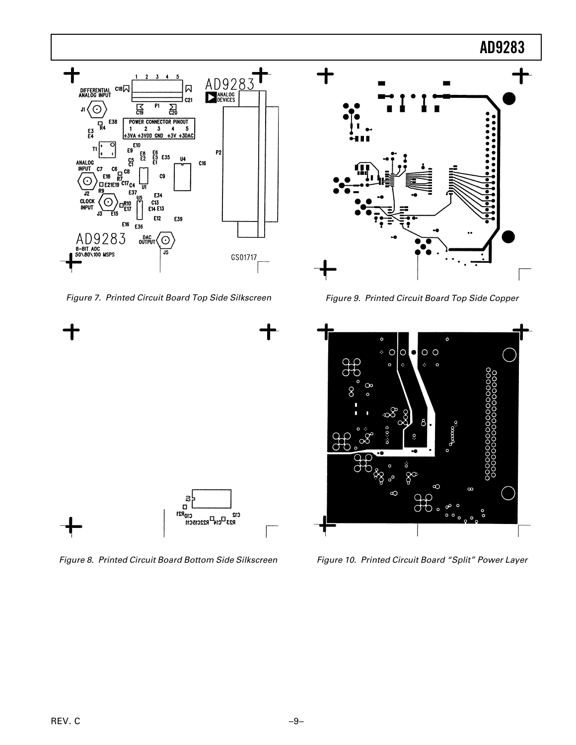

Figure 7. Printed Circuit Board Top Side Silkscreen



Figure 8. Printed Circuit Board Bottom Side Silkscreen



Figure 9. Printed Circuit Board Top Side Copper



Figure 10. Printed Circuit Board "Split" Power Layer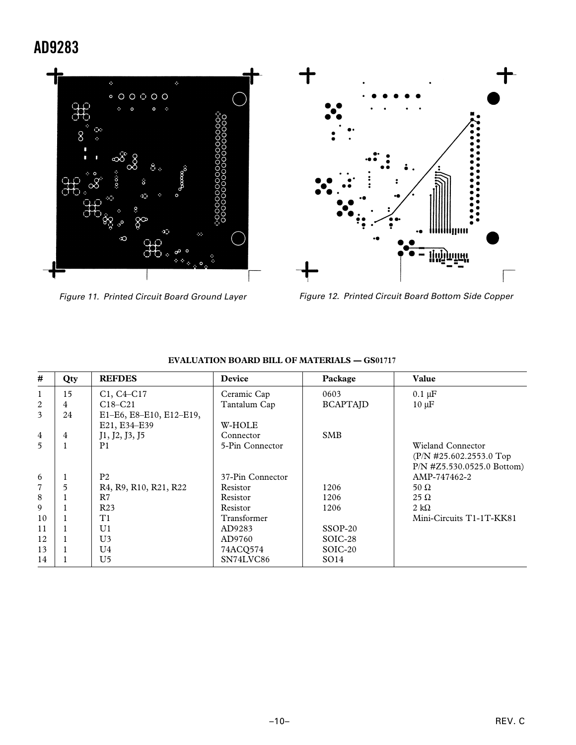

Figure 11. Printed Circuit Board Ground Layer



Figure 12. Printed Circuit Board Bottom Side Copper

| #              | Qty | <b>REFDES</b>                                                                         | Device           | Package          | Value                        |
|----------------|-----|---------------------------------------------------------------------------------------|------------------|------------------|------------------------------|
| $\mathbf{1}$   | 15  | $C1, C4-C17$                                                                          | Ceramic Cap      | 0603             | $0.1 \mu F$                  |
| 2              | 4   | $C18-C21$                                                                             | Tantalum Cap     | <b>BCAPTAJD</b>  | $10 \mu F$                   |
| 3              | 24  | E1-E6, E8-E10, E12-E19,                                                               |                  |                  |                              |
|                |     | E21, E34-E39                                                                          | W-HOLE           |                  |                              |
| $\overline{4}$ | 4   | J1, J2, J3, J5                                                                        | Connector        | <b>SMB</b>       |                              |
| 5              | 1   | P <sub>1</sub>                                                                        | 5-Pin Connector  |                  | Wieland Connector            |
|                |     |                                                                                       |                  |                  | $(P/N \#25.602.2553.0$ Top   |
|                |     |                                                                                       |                  |                  | $P/N$ #Z5.530.0525.0 Bottom) |
| 6              | 1   | P <sub>2</sub>                                                                        | 37-Pin Connector |                  | AMP-747462-2                 |
| $\overline{7}$ | 5   | R <sub>4</sub> , R <sub>9</sub> , R <sub>10</sub> , R <sub>21</sub> , R <sub>22</sub> | Resistor         | 1206             | 50 $\Omega$                  |
| 8              |     | R7                                                                                    | Resistor         | 1206             | $25 \Omega$                  |
| 9              |     | R <sub>23</sub>                                                                       | Resistor         | 1206             | 2 k $\Omega$                 |
| 10             |     | T1                                                                                    | Transformer      |                  | Mini-Circuits T1-1T-KK81     |
| 11             |     | U <sub>1</sub>                                                                        | AD9283           | $SSOP-20$        |                              |
| 12             |     | U <sub>3</sub>                                                                        | AD9760           | SOIC-28          |                              |
| 13             |     | U4                                                                                    | 74ACO574         | SOIC-20          |                              |
| 14             |     | U5                                                                                    | SN74LVC86        | SO <sub>14</sub> |                              |

### **EVALUATION BOARD BILL OF MATERIALS — GS01717**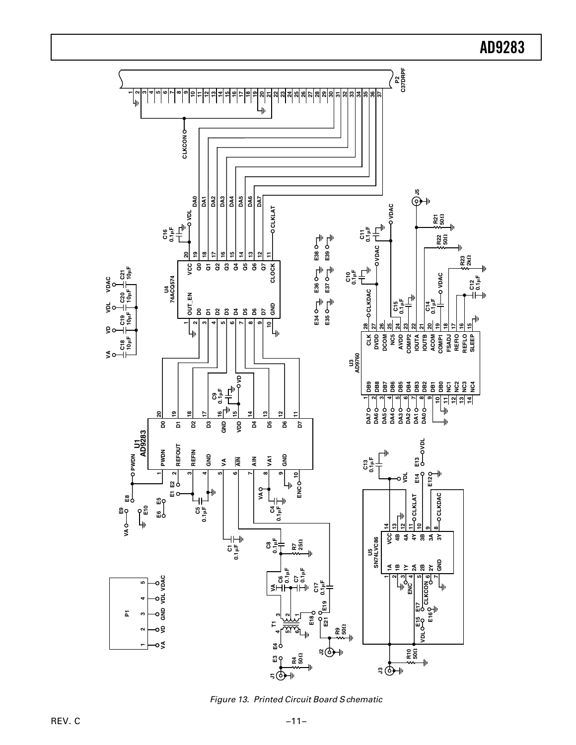**P**<br>C37BE<br>C37BE **C37DRPF 25 12345678910 12 13 14 15 16 17 18** <u>ლ</u> ี<br>2 **23 24 26 27 28 29 30 31 32 33 34 35 36 37 11 20** <u>ম</u> 4ŀ **CLKCON J5 DA7 DA0 DA1 DA2 DA3 DA4 DA5 DA6 VDAC 10 CLOCK 11 CLOCK CLKLAT OCLKLAT VDL R21 50 C16 0.1F C11 0.1F R22 <sup>50</sup> VDAC 20 19 18 17 16 15 14 13 12 11 E38 E39 R23 2k CLOCK VCC Q0 Q1 Q2 Q3 Q4 Q5 Q6 Q7 C21 10F** 용불 U4<br>74ACQ574 **VDAC VDAC C12 0.1F 74ACQ574 E36 E37 CLKDAC 10F C20 OUT\_EN** 호를 **C14 0.1F D0 D1 D2 D3 D4 D5 D6 D7 GND** g。 **10F** ၉<br>၁ **E34 E35** 위 **1** $\sim$ **345678928 27 26 25 24 23 22 21 20 19 18 17 16 15 VD** կր 41 **CLK DVDD DCOM NC5 AVDD COMP2 IOUTA IOUTB ACOM COMP1 FSADJ REFIO REFLO SLEEP C18 10F VA U3 AD9760 VD BB8BBBBBBB2222** 8블 **10**  $\sim$ **345678911** 1의 11 ن<br>ا<u>م</u> **DA2 DA0** կի **DA7 DA5 DA3 DA1 DA6 DA4 15 19 12 20 13 18 17 14 11 GND D5 D6**  $\ddot{\mathbf{r}}$ **D0 D1 D2 D3 VDD D4 D7 AD9283 VDL** 5 **REFOUT PWDN REFIN GND GND AIN AIN VA1 PWDN**  $\leq$ **C13 0.1F E14 E13 E12 2** $\circ \xi$ **134567910 E1 E2** 4h **VA ENC CLKDAC CLKLAT E8 E5 E10 C5 0.1F C4 0.1F E9 E6 14 13 12 11 10 98VA VCC 4B** U5<br>SN74LVC86 **4A 4Y 3B 3A 3Y SN74LVC86 C8 0.1F** g **R7 25 C1 0.1F GND 1A 1B 1Y 2A 2B 2Y C6 0.1F C7 0.1F O**<br>VDL VDAC  $\sim$ **34 5 6 7VA VD GND VDL VDAC 1C17 0.1F 12345 ENC**<br>CLKCON **VA E19 E17** o遣  $\overline{\mathbf{r}}$ **E18 E16 321E15 E21 T1** oş **R9 50**  $\mathbf{\Omega}$ **456VDL** o≶ **E3 E4** a ⊕⊣⊧ **R10 50 R4 50**  $\frac{1}{2}$  $\frac{1}{50}$ a **P** 4ı

**AD9283**

Figure 13. Printed Circuit Board S chematic